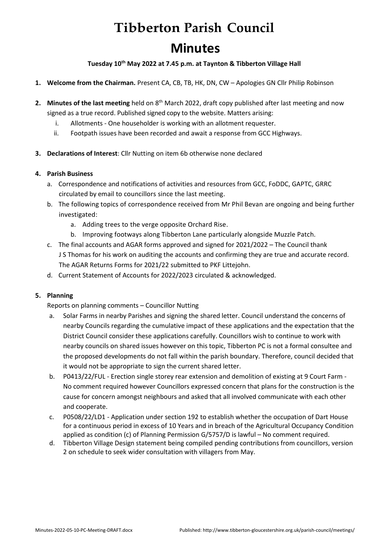# **Tibberton Parish Council Minutes**

**Tuesday 10th May 2022 at 7.45 p.m. at Taynton & Tibberton Village Hall**

- **1. Welcome from the Chairman.** Present CA, CB, TB, HK, DN, CW Apologies GN Cllr Philip Robinson
- **2. Minutes of the last meeting** held on 8<sup>th</sup> March 2022, draft copy published after last meeting and now signed as a true record. Published signed copy to the website. Matters arising:
	- i. Allotments One householder is working with an allotment requester.
	- ii. Footpath issues have been recorded and await a response from GCC Highways.
- **3. Declarations of Interest**: Cllr Nutting on item 6b otherwise none declared

### **4. Parish Business**

- a. Correspondence and notifications of activities and resources from GCC, FoDDC, GAPTC, GRRC circulated by email to councillors since the last meeting.
- b. The following topics of correspondence received from Mr Phil Bevan are ongoing and being further investigated:
	- a. Adding trees to the verge opposite Orchard Rise.
	- b. Improving footways along Tibberton Lane particularly alongside Muzzle Patch.
- c. The final accounts and AGAR forms approved and signed for 2021/2022 The Council thank J S Thomas for his work on auditing the accounts and confirming they are true and accurate record. The AGAR Returns Forms for 2021/22 submitted to PKF Littejohn.
- d. Current Statement of Accounts for 2022/2023 circulated & acknowledged.

# **5. Planning**

Reports on planning comments – Councillor Nutting

- a. Solar Farms in nearby Parishes and signing the shared letter. Council understand the concerns of nearby Councils regarding the cumulative impact of these applications and the expectation that the District Council consider these applications carefully. Councillors wish to continue to work with nearby councils on shared issues however on this topic, Tibberton PC is not a formal consultee and the proposed developments do not fall within the parish boundary. Therefore, council decided that it would not be appropriate to sign the current shared letter.
- b. P0413/22/FUL Erection single storey rear extension and demolition of existing at 9 Court Farm No comment required however Councillors expressed concern that plans for the construction is the cause for concern amongst neighbours and asked that all involved communicate with each other and cooperate.
- c. P0508/22/LD1 Application under section 192 to establish whether the occupation of Dart House for a continuous period in excess of 10 Years and in breach of the Agricultural Occupancy Condition applied as condition (c) of Planning Permission G/5757/D is lawful – No comment required.
- d. Tibberton Village Design statement being compiled pending contributions from councillors, version 2 on schedule to seek wider consultation with villagers from May.